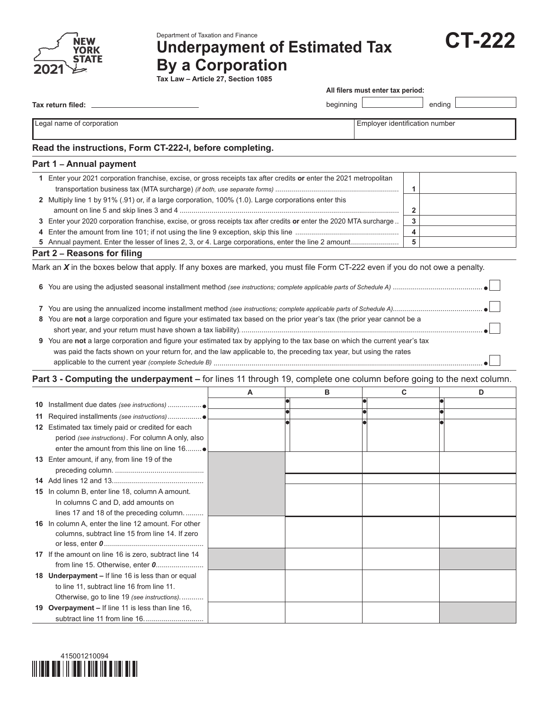

Department of Taxation and Finance

# **Underpayment of Estimated Tax By a Corporation**



| <b>CT-222</b> |
|---------------|
|---------------|

**Tax return filed:**

**All filers must enter tax period:**

 $begining$   $\Box$ 

Legal name of corporation extensive properties of the corporation of the corporation of the corporation number

## **Read the instructions, Form CT-222-I, before completing.**

#### **Part 1 – Annual payment**

| Enter your 2021 corporation franchise, excise, or gross receipts tax after credits or enter the 2021 metropolitan    |  |
|----------------------------------------------------------------------------------------------------------------------|--|
|                                                                                                                      |  |
| 2 Multiply line 1 by 91% (.91) or, if a large corporation, 100% (1.0). Large corporations enter this                 |  |
|                                                                                                                      |  |
| 3 Enter your 2020 corporation franchise, excise, or gross receipts tax after credits or enter the 2020 MTA surcharge |  |
|                                                                                                                      |  |
|                                                                                                                      |  |

#### **Part 2 – Reasons for filing**

Mark an *X* in the boxes below that apply. If any boxes are marked, you must file Form CT-222 even if you do not owe a penalty.

|--|--|--|

**7** You are using the annualized income installment method *(see instructions; complete applicable parts of Schedule A)*.............................................

- **8** You are **not** a large corporation and figure your estimated tax based on the prior year's tax (the prior year cannot be a short year, and your return must have shown a tax liability)*.*.........................................................................................................................
- **9** You are **not** a large corporation and figure your estimated tax by applying to the tax base on which the current year's tax was paid the facts shown on your return for, and the law applicable to, the preceding tax year, but using the rates applicable to the current year *(complete Schedule B)* .......................................................................................................................................

#### **Part 3 - Computing the underpayment –** for lines 11 through 19, complete one column before going to the next column.

|                                                       | A | в | C | D |
|-------------------------------------------------------|---|---|---|---|
|                                                       |   |   |   |   |
|                                                       |   |   |   |   |
| 12 Estimated tax timely paid or credited for each     |   |   |   |   |
| period (see instructions). For column A only, also    |   |   |   |   |
| enter the amount from this line on line 16            |   |   |   |   |
| 13 Enter amount, if any, from line 19 of the          |   |   |   |   |
|                                                       |   |   |   |   |
|                                                       |   |   |   |   |
| 15 In column B, enter line 18, column A amount.       |   |   |   |   |
| In columns C and D, add amounts on                    |   |   |   |   |
| lines 17 and 18 of the preceding column               |   |   |   |   |
| 16 In column A, enter the line 12 amount. For other   |   |   |   |   |
| columns, subtract line 15 from line 14. If zero       |   |   |   |   |
|                                                       |   |   |   |   |
| 17 If the amount on line 16 is zero, subtract line 14 |   |   |   |   |
|                                                       |   |   |   |   |
| 18 Underpayment – If line 16 is less than or equal    |   |   |   |   |
| to line 11, subtract line 16 from line 11.            |   |   |   |   |
| Otherwise, go to line 19 (see instructions)           |   |   |   |   |
| 19 Overpayment - If line 11 is less than line 16,     |   |   |   |   |
|                                                       |   |   |   |   |

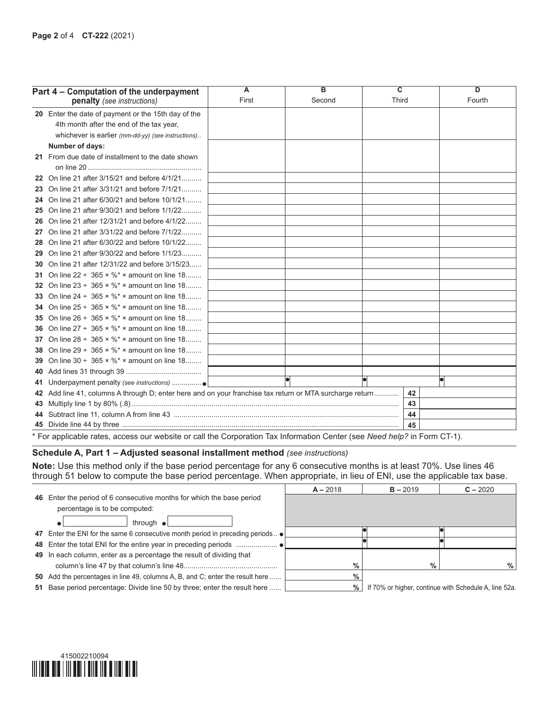|     | Part 4 – Computation of the underpayment                                                                 | $\overline{A}$                                        | в      | $\overline{\mathbf{c}}$ | D      |
|-----|----------------------------------------------------------------------------------------------------------|-------------------------------------------------------|--------|-------------------------|--------|
|     | penalty (see instructions)                                                                               | First                                                 | Second | <b>Third</b>            | Fourth |
|     | 20 Enter the date of payment or the 15th day of the                                                      |                                                       |        |                         |        |
|     | 4th month after the end of the tax year,                                                                 |                                                       |        |                         |        |
|     | whichever is earlier (mm-dd-yy) (see instructions)                                                       |                                                       |        |                         |        |
|     | Number of days:                                                                                          |                                                       |        |                         |        |
|     | 21 From due date of installment to the date shown                                                        |                                                       |        |                         |        |
|     |                                                                                                          |                                                       |        |                         |        |
|     | 22 On line 21 after 3/15/21 and before 4/1/21                                                            |                                                       |        |                         |        |
|     | 23 On line 21 after 3/31/21 and before 7/1/21                                                            |                                                       |        |                         |        |
|     | 24 On line 21 after 6/30/21 and before 10/1/21                                                           |                                                       |        |                         |        |
|     | 25 On line 21 after 9/30/21 and before 1/1/22                                                            |                                                       |        |                         |        |
|     | 26 On line 21 after 12/31/21 and before 4/1/22                                                           |                                                       |        |                         |        |
| 27  | On line 21 after 3/31/22 and before 7/1/22                                                               |                                                       |        |                         |        |
|     | 28 On line 21 after 6/30/22 and before 10/1/22                                                           |                                                       |        |                         |        |
| 29  | On line 21 after 9/30/22 and before 1/1/23                                                               |                                                       |        |                         |        |
| 30  | On line 21 after 12/31/22 and before 3/15/23                                                             |                                                       |        |                         |        |
|     | 31 On line $22 \div 365 \times \%^* \times$ amount on line 18                                            |                                                       |        |                         |        |
|     | 32 On line $23 \div 365 \times \%^* \times$ amount on line 18                                            |                                                       |        |                         |        |
|     | 33 On line $24 \div 365 \times \%^* \times$ amount on line 18                                            |                                                       |        |                         |        |
|     | <b>34</b> On line $25 \div 365 \times \%^* \times$ amount on line 18                                     |                                                       |        |                         |        |
|     | <b>35</b> On line $26 \div 365 \times \%^* \times$ amount on line $18$                                   |                                                       |        |                         |        |
|     | <b>36</b> On line $27 \div 365 \times \%^* \times$ amount on line 18                                     |                                                       |        |                         |        |
|     | 37 On line $28 \div 365 \times \%^* \times$ amount on line 18                                            |                                                       |        |                         |        |
|     | <b>38</b> On line $29 \div 365 \times \%^* \times$ amount on line 18                                     |                                                       |        |                         |        |
|     | 39 On line $30 \div 365 \times \%^* \times$ amount on line 18                                            |                                                       |        |                         |        |
|     |                                                                                                          | <u> 1989 - Andrea Andrew Maria Barbara, poeta esp</u> |        |                         |        |
| 41. |                                                                                                          |                                                       |        |                         |        |
|     | 42 Add line 41, columns A through D; enter here and on your franchise tax return or MTA surcharge return |                                                       |        | 42                      |        |
|     |                                                                                                          |                                                       |        | 43                      |        |
|     |                                                                                                          |                                                       |        | 44                      |        |
|     |                                                                                                          | سیمن ہیں۔ یہ میں میسی ہی میں میں ہیں                  |        | 45                      |        |

\* For applicable rates, access our website or call the Corporation Tax Information Center (see *Need help?* in Form CT-1).

#### **Schedule A, Part 1 – Adjusted seasonal installment method** *(see instructions)*

**Note:** Use this method only if the base period percentage for any 6 consecutive months is at least 70%. Use lines 46 through 51 below to compute the base period percentage. When appropriate, in lieu of ENI, use the applicable tax base.

|                                                                               | $A - 2018$ | $B - 2019$ | $C - 2020$                                            |
|-------------------------------------------------------------------------------|------------|------------|-------------------------------------------------------|
| 46 Enter the period of 6 consecutive months for which the base period         |            |            |                                                       |
| percentage is to be computed:                                                 |            |            |                                                       |
| through $\bullet$                                                             |            |            |                                                       |
| 47 Enter the ENI for the same 6 consecutive month period in preceding periods |            |            |                                                       |
|                                                                               |            |            |                                                       |
| 49 In each column, enter as a percentage the result of dividing that          |            |            |                                                       |
|                                                                               | $\%$       | %          | %                                                     |
| 50 Add the percentages in line 49, columns A, B, and C; enter the result here | $\%$       |            |                                                       |
| 51 Base period percentage: Divide line 50 by three; enter the result here     | $\%$       |            | If 70% or higher, continue with Schedule A, line 52a. |
|                                                                               |            |            |                                                       |

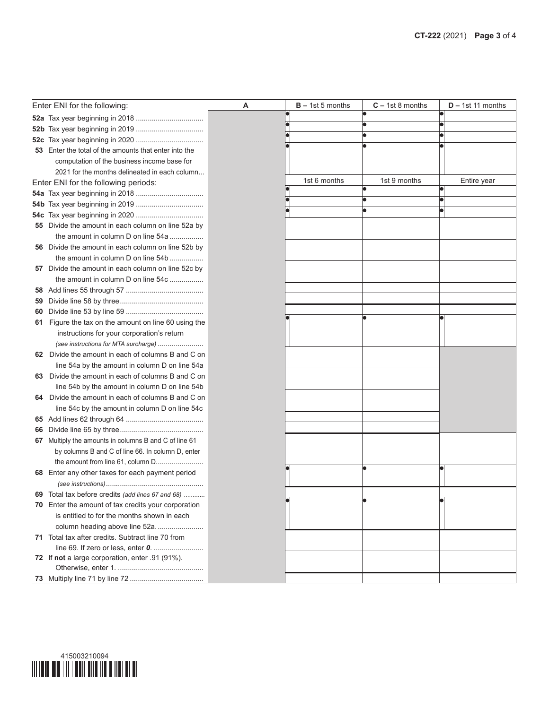|    | Enter ENI for the following:                                                                       | Α | $B - 1st 5$ months | $C - 1st 8$ months | $D - 1st$ 11 months |
|----|----------------------------------------------------------------------------------------------------|---|--------------------|--------------------|---------------------|
|    |                                                                                                    |   |                    |                    |                     |
|    |                                                                                                    |   |                    |                    |                     |
|    |                                                                                                    |   |                    |                    |                     |
|    | 53 Enter the total of the amounts that enter into the                                              |   |                    |                    |                     |
|    | computation of the business income base for                                                        |   |                    |                    |                     |
|    | 2021 for the months delineated in each column                                                      |   |                    |                    |                     |
|    | Enter ENI for the following periods:                                                               |   | 1st 6 months       | 1st 9 months       | Entire year         |
|    |                                                                                                    |   |                    |                    |                     |
|    |                                                                                                    |   |                    |                    |                     |
|    |                                                                                                    |   |                    |                    |                     |
|    | 55 Divide the amount in each column on line 52a by                                                 |   |                    |                    |                     |
|    | the amount in column D on line 54a                                                                 |   |                    |                    |                     |
|    | 56 Divide the amount in each column on line 52b by                                                 |   |                    |                    |                     |
|    | the amount in column D on line 54b                                                                 |   |                    |                    |                     |
|    | 57 Divide the amount in each column on line 52c by                                                 |   |                    |                    |                     |
|    | the amount in column D on line 54c                                                                 |   |                    |                    |                     |
|    |                                                                                                    |   |                    |                    |                     |
| 59 |                                                                                                    |   |                    |                    |                     |
| 60 |                                                                                                    |   |                    |                    |                     |
|    | 61 Figure the tax on the amount on line 60 using the                                               |   |                    |                    |                     |
|    | instructions for your corporation's return                                                         |   |                    |                    |                     |
|    | (see instructions for MTA surcharge)                                                               |   |                    |                    |                     |
|    | 62 Divide the amount in each of columns B and C on                                                 |   |                    |                    |                     |
|    | line 54a by the amount in column D on line 54a                                                     |   |                    |                    |                     |
|    | 63 Divide the amount in each of columns B and C on                                                 |   |                    |                    |                     |
|    | line 54b by the amount in column D on line 54b                                                     |   |                    |                    |                     |
|    | 64 Divide the amount in each of columns B and C on                                                 |   |                    |                    |                     |
|    | line 54c by the amount in column D on line 54c                                                     |   |                    |                    |                     |
|    |                                                                                                    |   |                    |                    |                     |
| 66 |                                                                                                    |   |                    |                    |                     |
|    | 67 Multiply the amounts in columns B and C of line 61                                              |   |                    |                    |                     |
|    | by columns B and C of line 66. In column D, enter                                                  |   |                    |                    |                     |
|    | the amount from line 61, column D                                                                  |   |                    |                    |                     |
|    | 68 Enter any other taxes for each payment period                                                   |   |                    |                    |                     |
|    |                                                                                                    |   |                    |                    |                     |
|    | 69 Total tax before credits (add lines 67 and 68)                                                  |   |                    |                    |                     |
|    | 70 Enter the amount of tax credits your corporation<br>is entitled to for the months shown in each |   |                    |                    |                     |
|    | column heading above line 52a.                                                                     |   |                    |                    |                     |
|    | 71 Total tax after credits. Subtract line 70 from                                                  |   |                    |                    |                     |
|    |                                                                                                    |   |                    |                    |                     |
|    | 72 If not a large corporation, enter .91 (91%).                                                    |   |                    |                    |                     |
|    |                                                                                                    |   |                    |                    |                     |
|    |                                                                                                    |   |                    |                    |                     |